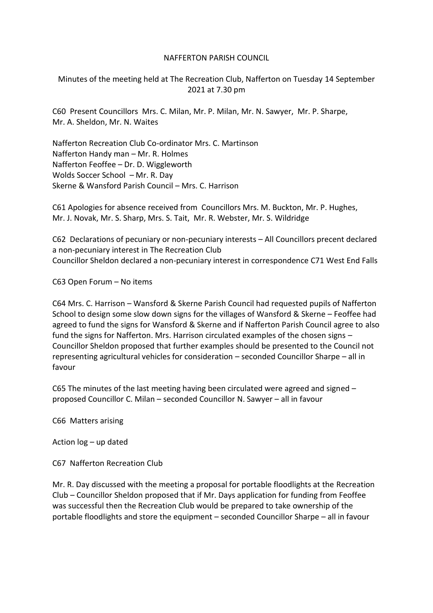# NAFFERTON PARISH COUNCIL

Minutes of the meeting held at The Recreation Club, Nafferton on Tuesday 14 September 2021 at 7.30 pm

C60 Present Councillors Mrs. C. Milan, Mr. P. Milan, Mr. N. Sawyer, Mr. P. Sharpe, Mr. A. Sheldon, Mr. N. Waites

Nafferton Recreation Club Co-ordinator Mrs. C. Martinson Nafferton Handy man – Mr. R. Holmes Nafferton Feoffee – Dr. D. Wiggleworth Wolds Soccer School – Mr. R. Day Skerne & Wansford Parish Council – Mrs. C. Harrison

C61 Apologies for absence received from Councillors Mrs. M. Buckton, Mr. P. Hughes, Mr. J. Novak, Mr. S. Sharp, Mrs. S. Tait, Mr. R. Webster, Mr. S. Wildridge

C62 Declarations of pecuniary or non-pecuniary interests – All Councillors precent declared a non-pecuniary interest in The Recreation Club Councillor Sheldon declared a non-pecuniary interest in correspondence C71 West End Falls

C63 Open Forum – No items

C64 Mrs. C. Harrison – Wansford & Skerne Parish Council had requested pupils of Nafferton School to design some slow down signs for the villages of Wansford & Skerne – Feoffee had agreed to fund the signs for Wansford & Skerne and if Nafferton Parish Council agree to also fund the signs for Nafferton. Mrs. Harrison circulated examples of the chosen signs – Councillor Sheldon proposed that further examples should be presented to the Council not representing agricultural vehicles for consideration – seconded Councillor Sharpe – all in favour

C65 The minutes of the last meeting having been circulated were agreed and signed – proposed Councillor C. Milan – seconded Councillor N. Sawyer – all in favour

C66 Matters arising

Action log – up dated

C67 Nafferton Recreation Club

Mr. R. Day discussed with the meeting a proposal for portable floodlights at the Recreation Club – Councillor Sheldon proposed that if Mr. Days application for funding from Feoffee was successful then the Recreation Club would be prepared to take ownership of the portable floodlights and store the equipment – seconded Councillor Sharpe – all in favour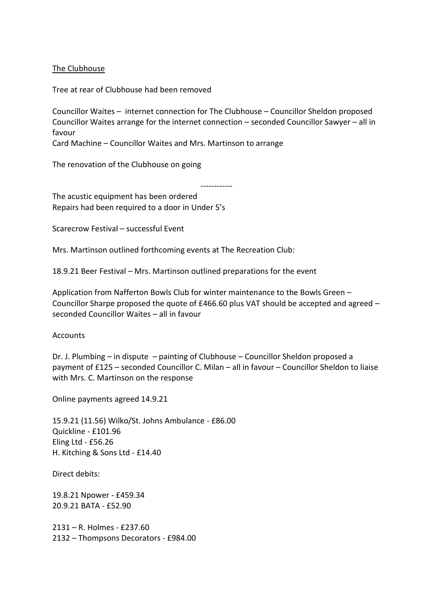### The Clubhouse

Tree at rear of Clubhouse had been removed

Councillor Waites – internet connection for The Clubhouse – Councillor Sheldon proposed Councillor Waites arrange for the internet connection – seconded Councillor Sawyer – all in favour

------------

Card Machine – Councillor Waites and Mrs. Martinson to arrange

The renovation of the Clubhouse on going

The acustic equipment has been ordered Repairs had been required to a door in Under 5's

Scarecrow Festival – successful Event

Mrs. Martinson outlined forthcoming events at The Recreation Club:

18.9.21 Beer Festival – Mrs. Martinson outlined preparations for the event

Application from Nafferton Bowls Club for winter maintenance to the Bowls Green – Councillor Sharpe proposed the quote of £466.60 plus VAT should be accepted and agreed – seconded Councillor Waites – all in favour

**Accounts** 

Dr. J. Plumbing – in dispute – painting of Clubhouse – Councillor Sheldon proposed a payment of £125 – seconded Councillor C. Milan – all in favour – Councillor Sheldon to liaise with Mrs. C. Martinson on the response

Online payments agreed 14.9.21

15.9.21 (11.56) Wilko/St. Johns Ambulance - £86.00 Quickline - £101.96 Eling Ltd - £56.26 H. Kitching & Sons Ltd - £14.40

Direct debits:

19.8.21 Npower - £459.34 20.9.21 BATA - £52.90

2131 – R. Holmes - £237.60 2132 – Thompsons Decorators - £984.00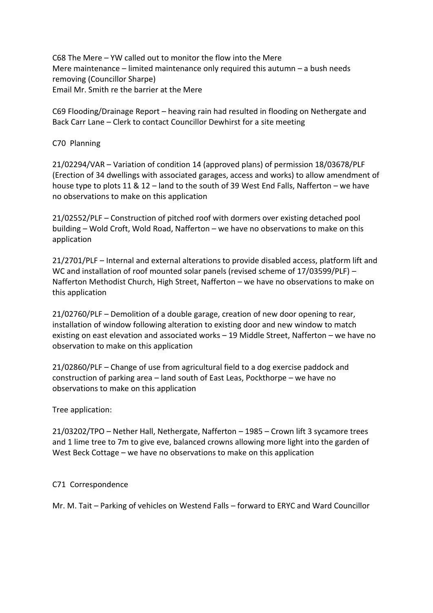C68 The Mere – YW called out to monitor the flow into the Mere Mere maintenance – limited maintenance only required this autumn – a bush needs removing (Councillor Sharpe) Email Mr. Smith re the barrier at the Mere

C69 Flooding/Drainage Report – heaving rain had resulted in flooding on Nethergate and Back Carr Lane – Clerk to contact Councillor Dewhirst for a site meeting

## C70 Planning

21/02294/VAR – Variation of condition 14 (approved plans) of permission 18/03678/PLF (Erection of 34 dwellings with associated garages, access and works) to allow amendment of house type to plots 11 & 12 – land to the south of 39 West End Falls, Nafferton – we have no observations to make on this application

21/02552/PLF – Construction of pitched roof with dormers over existing detached pool building – Wold Croft, Wold Road, Nafferton – we have no observations to make on this application

21/2701/PLF – Internal and external alterations to provide disabled access, platform lift and WC and installation of roof mounted solar panels (revised scheme of 17/03599/PLF) – Nafferton Methodist Church, High Street, Nafferton – we have no observations to make on this application

21/02760/PLF – Demolition of a double garage, creation of new door opening to rear, installation of window following alteration to existing door and new window to match existing on east elevation and associated works – 19 Middle Street, Nafferton – we have no observation to make on this application

21/02860/PLF – Change of use from agricultural field to a dog exercise paddock and construction of parking area – land south of East Leas, Pockthorpe – we have no observations to make on this application

#### Tree application:

21/03202/TPO – Nether Hall, Nethergate, Nafferton – 1985 – Crown lift 3 sycamore trees and 1 lime tree to 7m to give eve, balanced crowns allowing more light into the garden of West Beck Cottage – we have no observations to make on this application

# C71 Correspondence

Mr. M. Tait – Parking of vehicles on Westend Falls – forward to ERYC and Ward Councillor